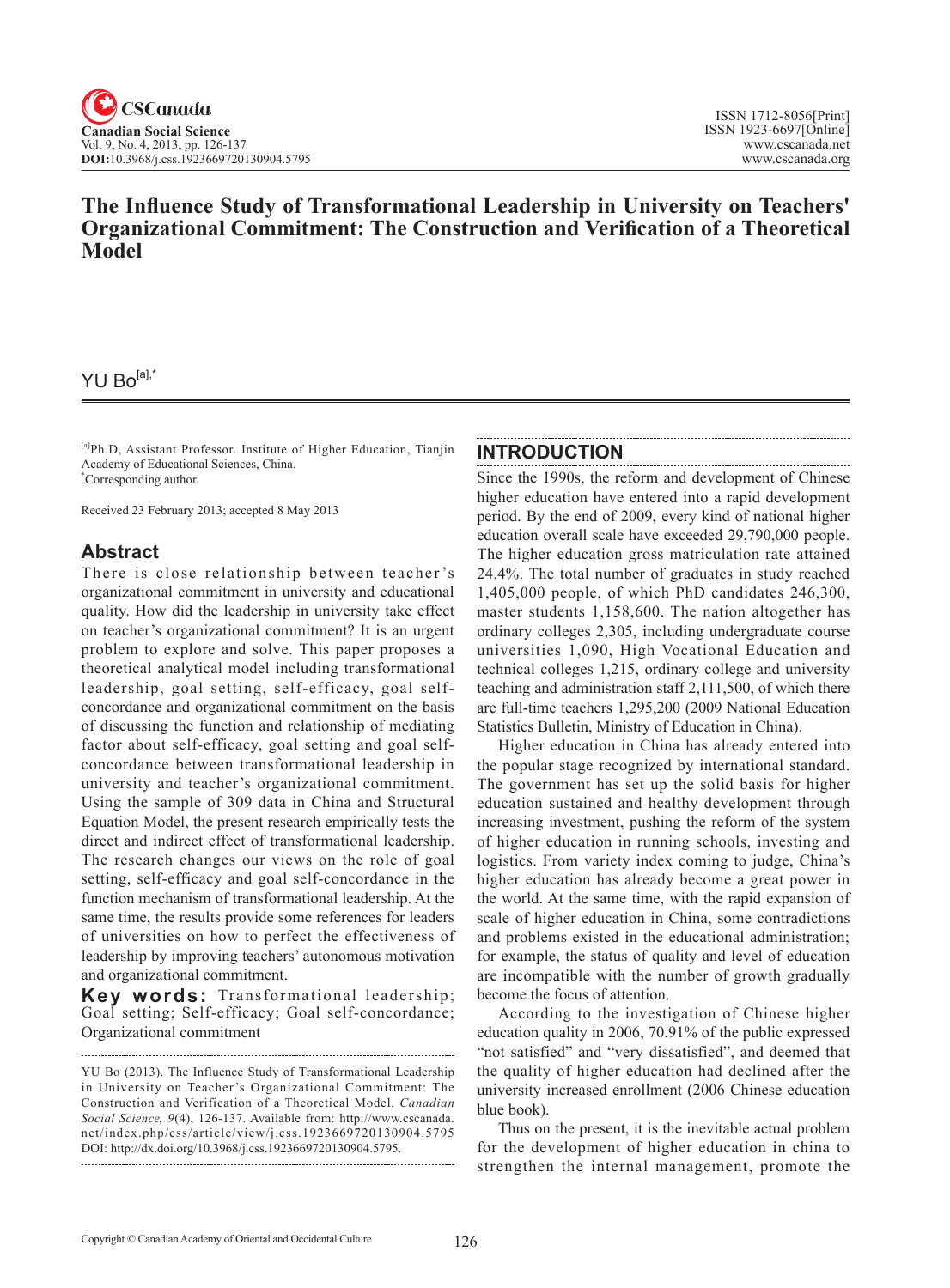# **The Influence Study of Transformational Leadership in University on Teachers' Organizational Commitment: The Construction and Verification of a Theoretical Model**

# YU Bo[a],\*

[a]Ph.D, Assistant Professor. Institute of Higher Education, Tianjin Academy of Educational Sciences, China. \* Corresponding author.

Received 23 February 2013; accepted 8 May 2013

# **Abstract**

There is close relationship between teacher 's organizational commitment in university and educational quality. How did the leadership in university take effect on teacher's organizational commitment? It is an urgent problem to explore and solve. This paper proposes a theoretical analytical model including transformational leadership, goal setting, self-efficacy, goal selfconcordance and organizational commitment on the basis of discussing the function and relationship of mediating factor about self-efficacy, goal setting and goal selfconcordance between transformational leadership in university and teacher's organizational commitment. Using the sample of 309 data in China and Structural Equation Model, the present research empirically tests the direct and indirect effect of transformational leadership. The research changes our views on the role of goal setting, self-efficacy and goal self-concordance in the function mechanism of transformational leadership. At the same time, the results provide some references for leaders of universities on how to perfect the effectiveness of leadership by improving teachers' autonomous motivation and organizational commitment.

**Key words:** Transformational leadership; Goal setting; Self-efficacy; Goal self-concordance; Organizational commitment

YU Bo (2013). The Influence Study of Transformational Leadership in University on Teacher's Organizational Commitment: The Construction and Verification of a Theoretical Model. *Canadian Social Science*, <sup>9</sup>(4), 126-137. Available from: http://www.cscanada. net/index.php/css/article/view/j.css.1923669720130904.5795 DOI: http://dx.doi.org/10.3968/j.css.1923669720130904.5795.

## **INTRODUCTION**

Since the 1990s, the reform and development of Chinese higher education have entered into a rapid development period. By the end of 2009, every kind of national higher education overall scale have exceeded 29,790,000 people. The higher education gross matriculation rate attained 24.4%. The total number of graduates in study reached 1,405,000 people, of which PhD candidates 246,300, master students 1,158,600. The nation altogether has ordinary colleges 2,305, including undergraduate course universities 1,090, High Vocational Education and technical colleges 1,215, ordinary college and university teaching and administration staff 2,111,500, of which there are full-time teachers 1,295,200 (2009 National Education Statistics Bulletin, Ministry of Education in China).

Higher education in China has already entered into the popular stage recognized by international standard. The government has set up the solid basis for higher education sustained and healthy development through increasing investment, pushing the reform of the system of higher education in running schools, investing and logistics. From variety index coming to judge, China's higher education has already become a great power in the world. At the same time, with the rapid expansion of scale of higher education in China, some contradictions and problems existed in the educational administration; for example, the status of quality and level of education are incompatible with the number of growth gradually become the focus of attention.

According to the investigation of Chinese higher education quality in 2006, 70.91% of the public expressed "not satisfied" and "very dissatisfied", and deemed that the quality of higher education had declined after the university increased enrollment (2006 Chinese education blue book).

Thus on the present, it is the inevitable actual problem for the development of higher education in china to strengthen the internal management, promote the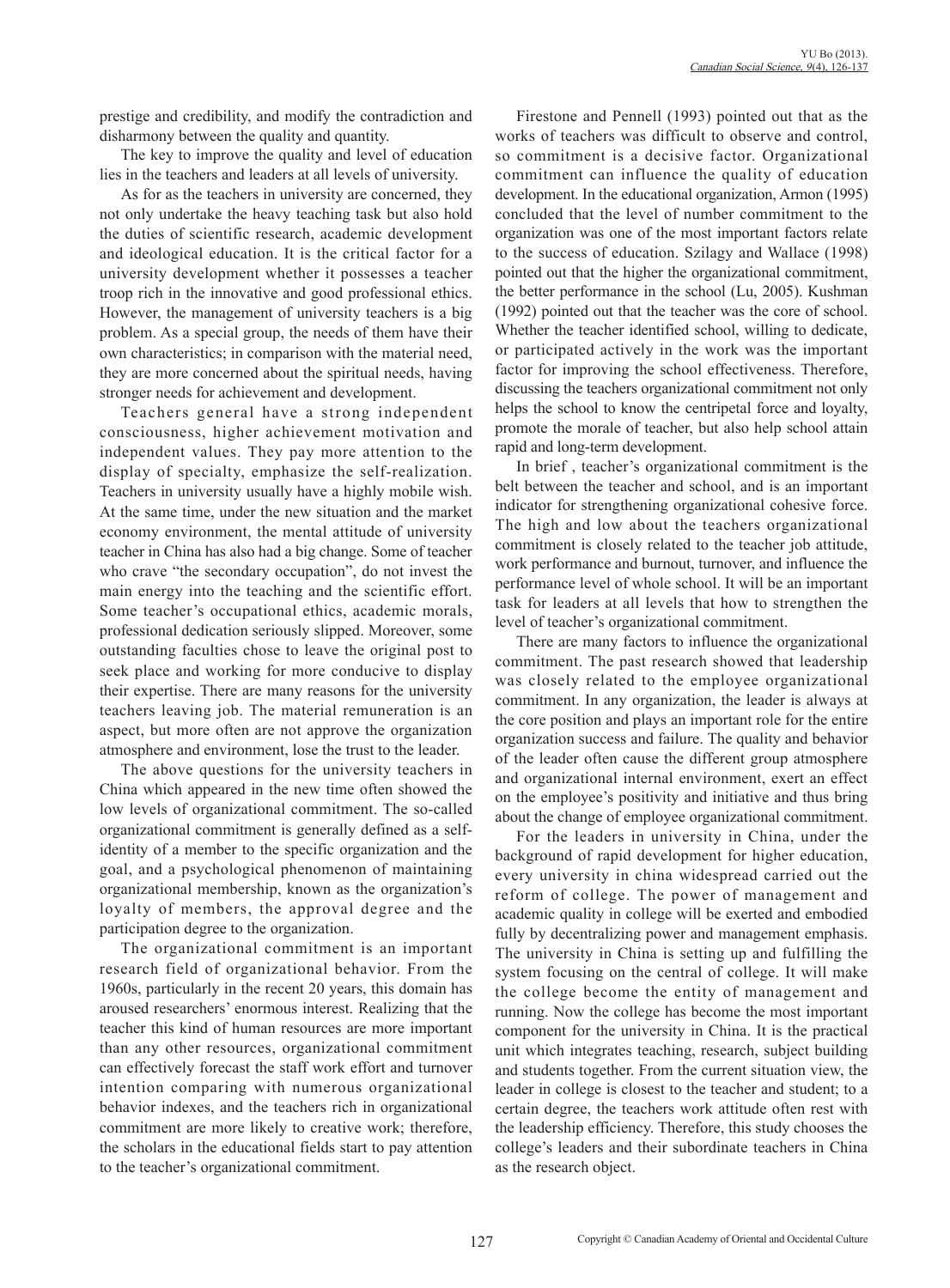prestige and credibility, and modify the contradiction and disharmony between the quality and quantity.

The key to improve the quality and level of education lies in the teachers and leaders at all levels of university.

As for as the teachers in university are concerned, they not only undertake the heavy teaching task but also hold the duties of scientific research, academic development and ideological education. It is the critical factor for a university development whether it possesses a teacher troop rich in the innovative and good professional ethics. However, the management of university teachers is a big problem. As a special group, the needs of them have their own characteristics; in comparison with the material need, they are more concerned about the spiritual needs, having stronger needs for achievement and development.

Teachers general have a strong independent consciousness, higher achievement motivation and independent values. They pay more attention to the display of specialty, emphasize the self-realization. Teachers in university usually have a highly mobile wish. At the same time, under the new situation and the market economy environment, the mental attitude of university teacher in China has also had a big change. Some of teacher who crave "the secondary occupation", do not invest the main energy into the teaching and the scientific effort. Some teacher's occupational ethics, academic morals, professional dedication seriously slipped. Moreover, some outstanding faculties chose to leave the original post to seek place and working for more conducive to display their expertise. There are many reasons for the university teachers leaving job. The material remuneration is an aspect, but more often are not approve the organization atmosphere and environment, lose the trust to the leader.

The above questions for the university teachers in China which appeared in the new time often showed the low levels of organizational commitment. The so-called organizational commitment is generally defined as a selfidentity of a member to the specific organization and the goal, and a psychological phenomenon of maintaining organizational membership, known as the organization's loyalty of members, the approval degree and the participation degree to the organization.

The organizational commitment is an important research field of organizational behavior. From the 1960s, particularly in the recent 20 years, this domain has aroused researchers' enormous interest. Realizing that the teacher this kind of human resources are more important than any other resources, organizational commitment can effectively forecast the staff work effort and turnover intention comparing with numerous organizational behavior indexes, and the teachers rich in organizational commitment are more likely to creative work; therefore, the scholars in the educational fields start to pay attention to the teacher's organizational commitment.

Firestone and Pennell (1993) pointed out that as the works of teachers was difficult to observe and control, so commitment is a decisive factor. Organizational commitment can influence the quality of education development. In the educational organization, Armon (1995) concluded that the level of number commitment to the organization was one of the most important factors relate to the success of education. Szilagy and Wallace (1998) pointed out that the higher the organizational commitment, the better performance in the school (Lu, 2005). Kushman (1992) pointed out that the teacher was the core of school. Whether the teacher identified school, willing to dedicate, or participated actively in the work was the important factor for improving the school effectiveness. Therefore, discussing the teachers organizational commitment not only helps the school to know the centripetal force and loyalty, promote the morale of teacher, but also help school attain rapid and long-term development.

In brief , teacher's organizational commitment is the belt between the teacher and school, and is an important indicator for strengthening organizational cohesive force. The high and low about the teachers organizational commitment is closely related to the teacher job attitude, work performance and burnout, turnover, and influence the performance level of whole school. It will be an important task for leaders at all levels that how to strengthen the level of teacher's organizational commitment.

There are many factors to influence the organizational commitment. The past research showed that leadership was closely related to the employee organizational commitment. In any organization, the leader is always at the core position and plays an important role for the entire organization success and failure. The quality and behavior of the leader often cause the different group atmosphere and organizational internal environment, exert an effect on the employee's positivity and initiative and thus bring about the change of employee organizational commitment.

For the leaders in university in China, under the background of rapid development for higher education, every university in china widespread carried out the reform of college. The power of management and academic quality in college will be exerted and embodied fully by decentralizing power and management emphasis. The university in China is setting up and fulfilling the system focusing on the central of college. It will make the college become the entity of management and running. Now the college has become the most important component for the university in China. It is the practical unit which integrates teaching, research, subject building and students together. From the current situation view, the leader in college is closest to the teacher and student; to a certain degree, the teachers work attitude often rest with the leadership efficiency. Therefore, this study chooses the college's leaders and their subordinate teachers in China as the research object.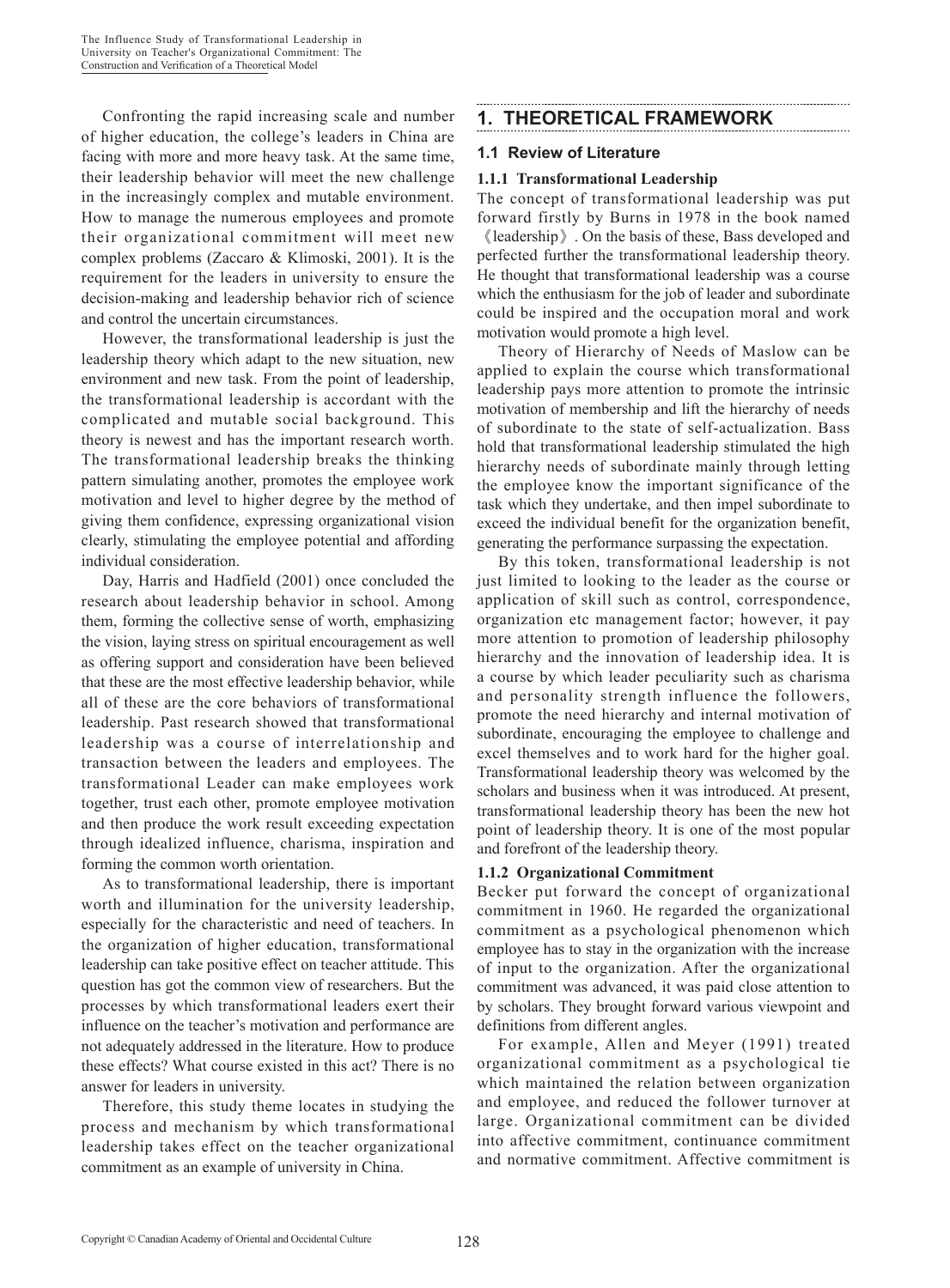Confronting the rapid increasing scale and number of higher education, the college's leaders in China are facing with more and more heavy task. At the same time, their leadership behavior will meet the new challenge in the increasingly complex and mutable environment. How to manage the numerous employees and promote their organizational commitment will meet new complex problems (Zaccaro & Klimoski, 2001). It is the requirement for the leaders in university to ensure the decision-making and leadership behavior rich of science and control the uncertain circumstances.

However, the transformational leadership is just the leadership theory which adapt to the new situation, new environment and new task. From the point of leadership, the transformational leadership is accordant with the complicated and mutable social background. This theory is newest and has the important research worth. The transformational leadership breaks the thinking pattern simulating another, promotes the employee work motivation and level to higher degree by the method of giving them confidence, expressing organizational vision clearly, stimulating the employee potential and affording individual consideration.

Day, Harris and Hadfield (2001) once concluded the research about leadership behavior in school. Among them, forming the collective sense of worth, emphasizing the vision, laying stress on spiritual encouragement as well as offering support and consideration have been believed that these are the most effective leadership behavior, while all of these are the core behaviors of transformational leadership. Past research showed that transformational leadership was a course of interrelationship and transaction between the leaders and employees. The transformational Leader can make employees work together, trust each other, promote employee motivation and then produce the work result exceeding expectation through idealized influence, charisma, inspiration and forming the common worth orientation.

As to transformational leadership, there is important worth and illumination for the university leadership, especially for the characteristic and need of teachers. In the organization of higher education, transformational leadership can take positive effect on teacher attitude. This question has got the common view of researchers. But the processes by which transformational leaders exert their influence on the teacher's motivation and performance are not adequately addressed in the literature. How to produce these effects? What course existed in this act? There is no answer for leaders in university.

Therefore, this study theme locates in studying the process and mechanism by which transformational leadership takes effect on the teacher organizational commitment as an example of university in China.

# **1. THEORETICAL FRAMEWORK**

#### **1.1 Review of Literature**

#### **1.1.1 Transformational Leadership**

The concept of transformational leadership was put forward firstly by Burns in 1978 in the book named 《leadership》. On the basis of these, Bass developed and

perfected further the transformational leadership theory. He thought that transformational leadership was a course which the enthusiasm for the job of leader and subordinate could be inspired and the occupation moral and work motivation would promote a high level.

Theory of Hierarchy of Needs of Maslow can be applied to explain the course which transformational leadership pays more attention to promote the intrinsic motivation of membership and lift the hierarchy of needs of subordinate to the state of self-actualization. Bass hold that transformational leadership stimulated the high hierarchy needs of subordinate mainly through letting the employee know the important significance of the task which they undertake, and then impel subordinate to exceed the individual benefit for the organization benefit, generating the performance surpassing the expectation.

By this token, transformational leadership is not just limited to looking to the leader as the course or application of skill such as control, correspondence, organization etc management factor; however, it pay more attention to promotion of leadership philosophy hierarchy and the innovation of leadership idea. It is a course by which leader peculiarity such as charisma and personality strength influence the followers, promote the need hierarchy and internal motivation of subordinate, encouraging the employee to challenge and excel themselves and to work hard for the higher goal. Transformational leadership theory was welcomed by the scholars and business when it was introduced. At present, transformational leadership theory has been the new hot point of leadership theory. It is one of the most popular and forefront of the leadership theory.

#### **1.1.2 Organizational Commitment**

Becker put forward the concept of organizational commitment in 1960. He regarded the organizational commitment as a psychological phenomenon which employee has to stay in the organization with the increase of input to the organization. After the organizational commitment was advanced, it was paid close attention to by scholars. They brought forward various viewpoint and definitions from different angles.

For example, Allen and Meyer (1991) treated organizational commitment as a psychological tie which maintained the relation between organization and employee, and reduced the follower turnover at large. Organizational commitment can be divided into affective commitment, continuance commitment and normative commitment. Affective commitment is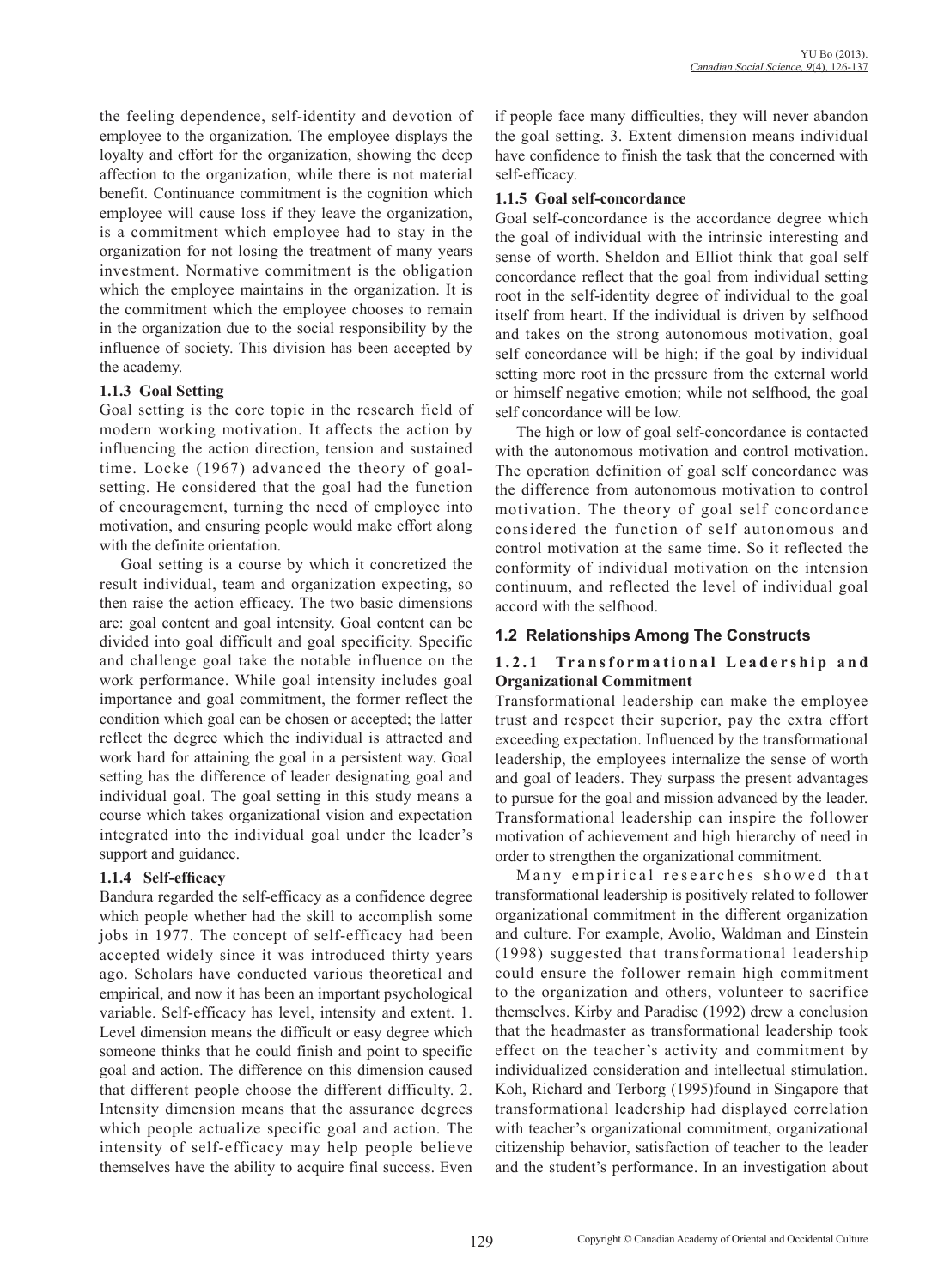the feeling dependence, self-identity and devotion of employee to the organization. The employee displays the loyalty and effort for the organization, showing the deep affection to the organization, while there is not material benefit. Continuance commitment is the cognition which employee will cause loss if they leave the organization, is a commitment which employee had to stay in the organization for not losing the treatment of many years investment. Normative commitment is the obligation which the employee maintains in the organization. It is the commitment which the employee chooses to remain in the organization due to the social responsibility by the influence of society. This division has been accepted by the academy.

#### **1.1.3 Goal Setting**

Goal setting is the core topic in the research field of modern working motivation. It affects the action by influencing the action direction, tension and sustained time. Locke (1967) advanced the theory of goalsetting. He considered that the goal had the function of encouragement, turning the need of employee into motivation, and ensuring people would make effort along with the definite orientation.

Goal setting is a course by which it concretized the result individual, team and organization expecting, so then raise the action efficacy. The two basic dimensions are: goal content and goal intensity. Goal content can be divided into goal difficult and goal specificity. Specific and challenge goal take the notable influence on the work performance. While goal intensity includes goal importance and goal commitment, the former reflect the condition which goal can be chosen or accepted; the latter reflect the degree which the individual is attracted and work hard for attaining the goal in a persistent way. Goal setting has the difference of leader designating goal and individual goal. The goal setting in this study means a course which takes organizational vision and expectation integrated into the individual goal under the leader's support and guidance.

#### **1.1.4 Self-efficacy**

Bandura regarded the self-efficacy as a confidence degree which people whether had the skill to accomplish some jobs in 1977. The concept of self-efficacy had been accepted widely since it was introduced thirty years ago. Scholars have conducted various theoretical and empirical, and now it has been an important psychological variable. Self-efficacy has level, intensity and extent. 1. Level dimension means the difficult or easy degree which someone thinks that he could finish and point to specific goal and action. The difference on this dimension caused that different people choose the different difficulty. 2. Intensity dimension means that the assurance degrees which people actualize specific goal and action. The intensity of self-efficacy may help people believe themselves have the ability to acquire final success. Even if people face many difficulties, they will never abandon the goal setting. 3. Extent dimension means individual have confidence to finish the task that the concerned with self-efficacy.

#### **1.1.5 Goal self-concordance**

Goal self-concordance is the accordance degree which the goal of individual with the intrinsic interesting and sense of worth. Sheldon and Elliot think that goal self concordance reflect that the goal from individual setting root in the self-identity degree of individual to the goal itself from heart. If the individual is driven by selfhood and takes on the strong autonomous motivation, goal self concordance will be high; if the goal by individual setting more root in the pressure from the external world or himself negative emotion; while not selfhood, the goal self concordance will be low.

The high or low of goal self-concordance is contacted with the autonomous motivation and control motivation. The operation definition of goal self concordance was the difference from autonomous motivation to control motivation. The theory of goal self concordance considered the function of self autonomous and control motivation at the same time. So it reflected the conformity of individual motivation on the intension continuum, and reflected the level of individual goal accord with the selfhood.

# **1.2 Relationships Among The Constructs**

## 1.2.1 Transformational Leadership and **Organizational Commitment**

Transformational leadership can make the employee trust and respect their superior, pay the extra effort exceeding expectation. Influenced by the transformational leadership, the employees internalize the sense of worth and goal of leaders. They surpass the present advantages to pursue for the goal and mission advanced by the leader. Transformational leadership can inspire the follower motivation of achievement and high hierarchy of need in order to strengthen the organizational commitment.

Many empirical researches showed that transformational leadership is positively related to follower organizational commitment in the different organization and culture. For example, Avolio, Waldman and Einstein (1998) suggested that transformational leadership could ensure the follower remain high commitment to the organization and others, volunteer to sacrifice themselves. Kirby and Paradise (1992) drew a conclusion that the headmaster as transformational leadership took effect on the teacher's activity and commitment by individualized consideration and intellectual stimulation. Koh, Richard and Terborg (1995)found in Singapore that transformational leadership had displayed correlation with teacher's organizational commitment, organizational citizenship behavior, satisfaction of teacher to the leader and the student's performance. In an investigation about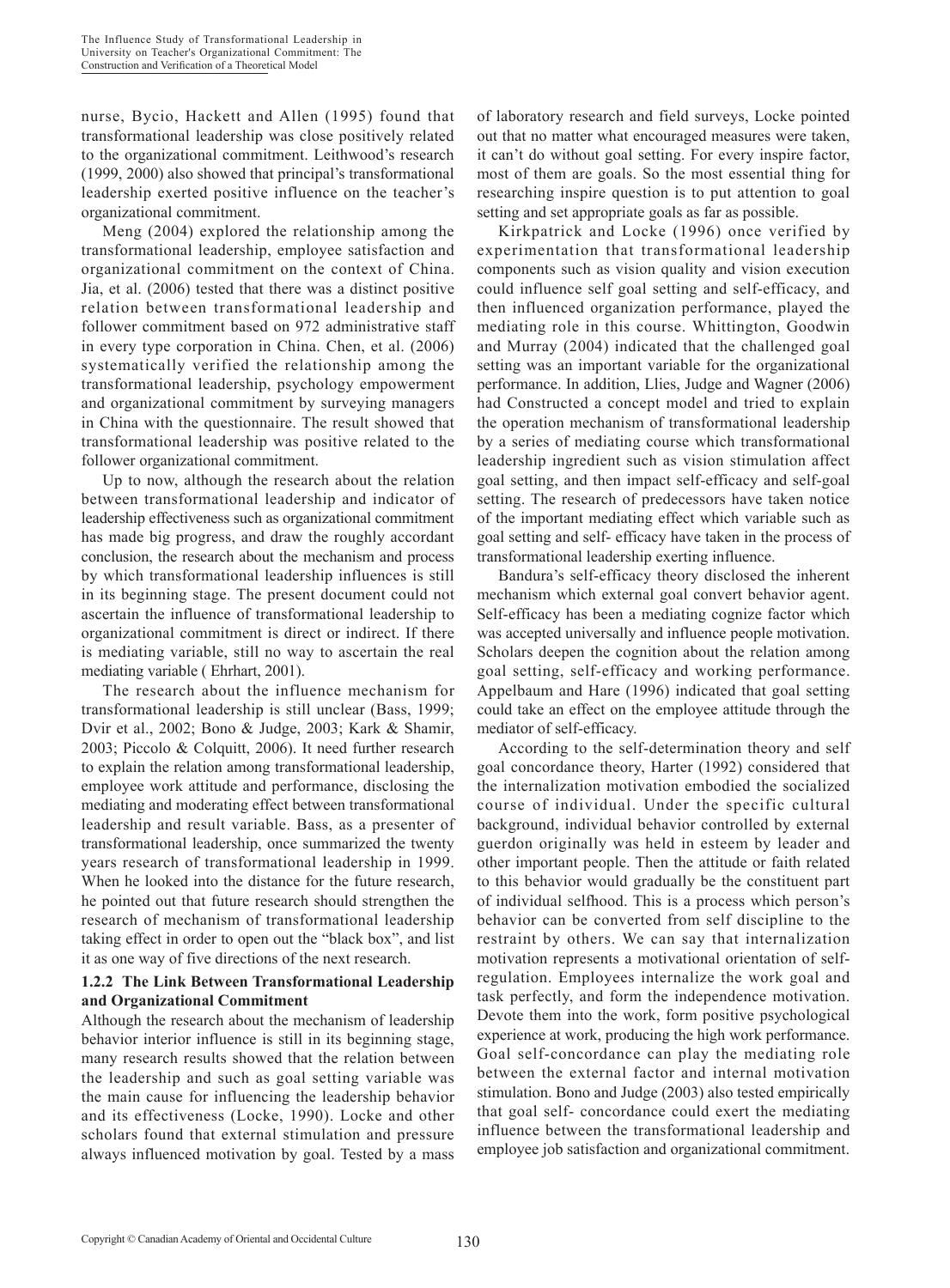nurse, Bycio, Hackett and Allen (1995) found that transformational leadership was close positively related to the organizational commitment. Leithwood's research (1999, 2000) also showed that principal's transformational leadership exerted positive influence on the teacher's organizational commitment.

Meng (2004) explored the relationship among the transformational leadership, employee satisfaction and organizational commitment on the context of China. Jia, et al. (2006) tested that there was a distinct positive relation between transformational leadership and follower commitment based on 972 administrative staff in every type corporation in China. Chen, et al. (2006) systematically verified the relationship among the transformational leadership, psychology empowerment and organizational commitment by surveying managers in China with the questionnaire. The result showed that transformational leadership was positive related to the follower organizational commitment.

Up to now, although the research about the relation between transformational leadership and indicator of leadership effectiveness such as organizational commitment has made big progress, and draw the roughly accordant conclusion, the research about the mechanism and process by which transformational leadership influences is still in its beginning stage. The present document could not ascertain the influence of transformational leadership to organizational commitment is direct or indirect. If there is mediating variable, still no way to ascertain the real mediating variable ( Ehrhart, 2001).

The research about the influence mechanism for transformational leadership is still unclear (Bass, 1999; Dvir et al., 2002; Bono & Judge, 2003; Kark & Shamir, 2003; Piccolo & Colquitt, 2006). It need further research to explain the relation among transformational leadership, employee work attitude and performance, disclosing the mediating and moderating effect between transformational leadership and result variable. Bass, as a presenter of transformational leadership, once summarized the twenty years research of transformational leadership in 1999. When he looked into the distance for the future research, he pointed out that future research should strengthen the research of mechanism of transformational leadership taking effect in order to open out the "black box", and list it as one way of five directions of the next research.

#### **1.2.2 The Link Between Transformational Leadership and Organizational Commitment**

Although the research about the mechanism of leadership behavior interior influence is still in its beginning stage, many research results showed that the relation between the leadership and such as goal setting variable was the main cause for influencing the leadership behavior and its effectiveness (Locke, 1990). Locke and other scholars found that external stimulation and pressure always influenced motivation by goal. Tested by a mass of laboratory research and field surveys, Locke pointed out that no matter what encouraged measures were taken, it can't do without goal setting. For every inspire factor, most of them are goals. So the most essential thing for researching inspire question is to put attention to goal setting and set appropriate goals as far as possible.

Kirkpatrick and Locke (1996) once verified by experimentation that transformational leadership components such as vision quality and vision execution could influence self goal setting and self-efficacy, and then influenced organization performance, played the mediating role in this course. Whittington, Goodwin and Murray (2004) indicated that the challenged goal setting was an important variable for the organizational performance. In addition, Llies, Judge and Wagner (2006) had Constructed a concept model and tried to explain the operation mechanism of transformational leadership by a series of mediating course which transformational leadership ingredient such as vision stimulation affect goal setting, and then impact self-efficacy and self-goal setting. The research of predecessors have taken notice of the important mediating effect which variable such as goal setting and self- efficacy have taken in the process of transformational leadership exerting influence.

Bandura's self-efficacy theory disclosed the inherent mechanism which external goal convert behavior agent. Self-efficacy has been a mediating cognize factor which was accepted universally and influence people motivation. Scholars deepen the cognition about the relation among goal setting, self-efficacy and working performance. Appelbaum and Hare (1996) indicated that goal setting could take an effect on the employee attitude through the mediator of self-efficacy.

According to the self-determination theory and self goal concordance theory, Harter (1992) considered that the internalization motivation embodied the socialized course of individual. Under the specific cultural background, individual behavior controlled by external guerdon originally was held in esteem by leader and other important people. Then the attitude or faith related to this behavior would gradually be the constituent part of individual selfhood. This is a process which person's behavior can be converted from self discipline to the restraint by others. We can say that internalization motivation represents a motivational orientation of selfregulation. Employees internalize the work goal and task perfectly, and form the independence motivation. Devote them into the work, form positive psychological experience at work, producing the high work performance. Goal self-concordance can play the mediating role between the external factor and internal motivation stimulation. Bono and Judge (2003) also tested empirically that goal self- concordance could exert the mediating influence between the transformational leadership and employee job satisfaction and organizational commitment.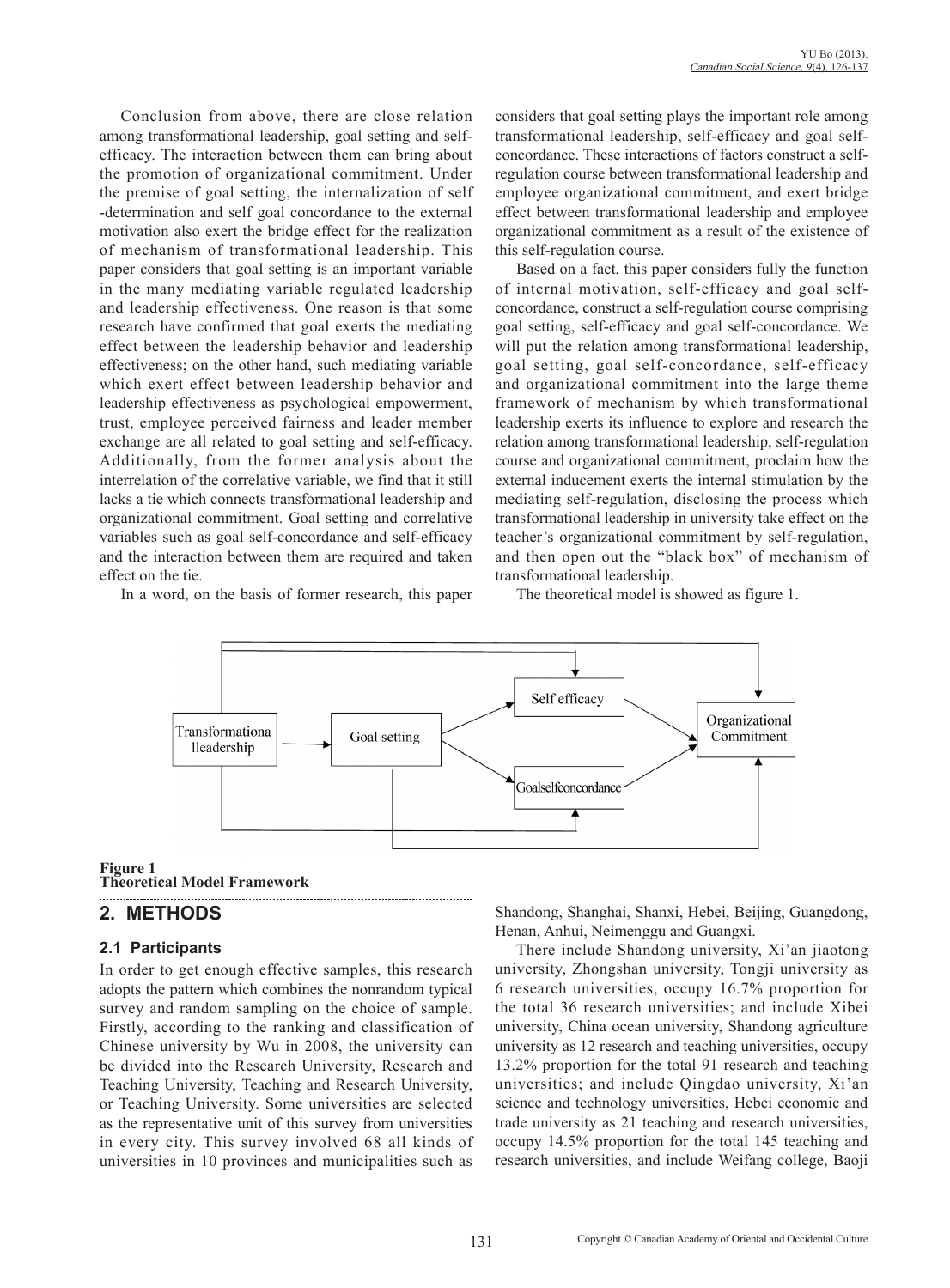Conclusion from above, there are close relation among transformational leadership, goal setting and selfefficacy. The interaction between them can bring about the promotion of organizational commitment. Under the premise of goal setting, the internalization of self -determination and self goal concordance to the external motivation also exert the bridge effect for the realization of mechanism of transformational leadership. This paper considers that goal setting is an important variable in the many mediating variable regulated leadership and leadership effectiveness. One reason is that some research have confirmed that goal exerts the mediating effect between the leadership behavior and leadership effectiveness; on the other hand, such mediating variable which exert effect between leadership behavior and leadership effectiveness as psychological empowerment, trust, employee perceived fairness and leader member exchange are all related to goal setting and self-efficacy. Additionally, from the former analysis about the interrelation of the correlative variable, we find that it still lacks a tie which connects transformational leadership and organizational commitment. Goal setting and correlative variables such as goal self-concordance and self-efficacy and the interaction between them are required and taken effect on the tie.

In a word, on the basis of former research, this paper

considers that goal setting plays the important role among transformational leadership, self-efficacy and goal selfconcordance. These interactions of factors construct a selfregulation course between transformational leadership and employee organizational commitment, and exert bridge effect between transformational leadership and employee organizational commitment as a result of the existence of this self-regulation course.

Based on a fact, this paper considers fully the function of internal motivation, self-efficacy and goal selfconcordance, construct a self-regulation course comprising goal setting, self-efficacy and goal self-concordance. We will put the relation among transformational leadership, goal setting, goal self-concordance, self-efficacy and organizational commitment into the large theme framework of mechanism by which transformational leadership exerts its influence to explore and research the relation among transformational leadership, self-regulation course and organizational commitment, proclaim how the external inducement exerts the internal stimulation by the mediating self-regulation, disclosing the process which transformational leadership in university take effect on the teacher's organizational commitment by self-regulation, and then open out the "black box" of mechanism of transformational leadership.

The theoretical model is showed as figure 1.



**Figure 1 Theoretical Model Framework**

# **2. METHODS**

## **2.1 Participants**

In order to get enough effective samples, this research adopts the pattern which combines the nonrandom typical survey and random sampling on the choice of sample. Firstly, according to the ranking and classification of Chinese university by Wu in 2008, the university can be divided into the Research University, Research and Teaching University, Teaching and Research University, or Teaching University. Some universities are selected as the representative unit of this survey from universities in every city. This survey involved 68 all kinds of universities in 10 provinces and municipalities such as

Shandong, Shanghai, Shanxi, Hebei, Beijing, Guangdong, Henan, Anhui, Neimenggu and Guangxi.

There include Shandong university, Xi'an jiaotong university, Zhongshan university, Tongji university as 6 research universities, occupy 16.7% proportion for the total 36 research universities; and include Xibei university, China ocean university, Shandong agriculture university as 12 research and teaching universities, occupy 13.2% proportion for the total 91 research and teaching universities; and include Qingdao university, Xi'an science and technology universities, Hebei economic and trade university as 21 teaching and research universities, occupy 14.5% proportion for the total 145 teaching and research universities, and include Weifang college, Baoji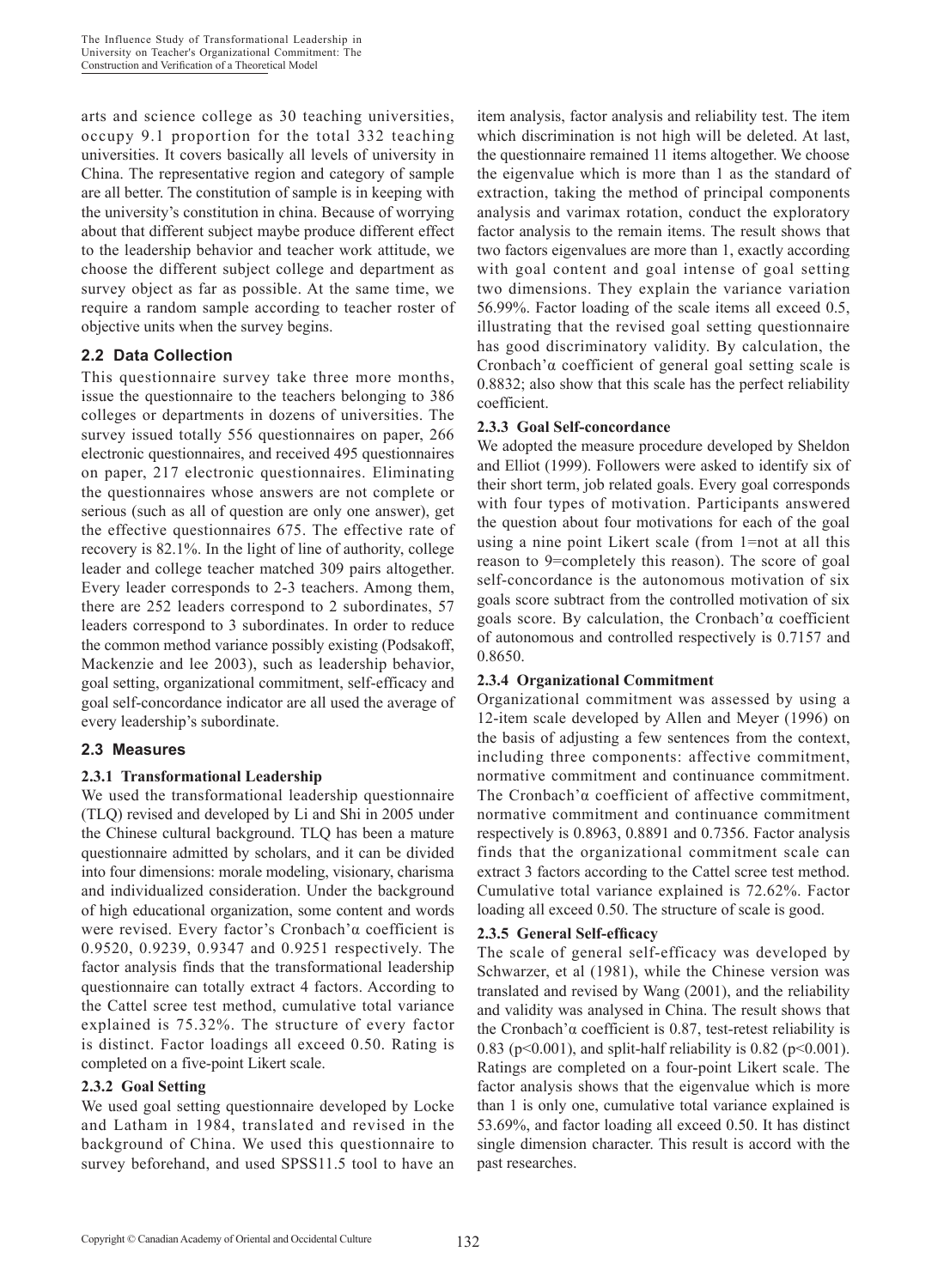arts and science college as 30 teaching universities, occupy 9.1 proportion for the total 332 teaching universities. It covers basically all levels of university in China. The representative region and category of sample are all better. The constitution of sample is in keeping with the university's constitution in china. Because of worrying about that different subject maybe produce different effect to the leadership behavior and teacher work attitude, we choose the different subject college and department as survey object as far as possible. At the same time, we require a random sample according to teacher roster of objective units when the survey begins.

#### **2.2 Data Collection**

This questionnaire survey take three more months, issue the questionnaire to the teachers belonging to 386 colleges or departments in dozens of universities. The survey issued totally 556 questionnaires on paper, 266 electronic questionnaires, and received 495 questionnaires on paper, 217 electronic questionnaires. Eliminating the questionnaires whose answers are not complete or serious (such as all of question are only one answer), get the effective questionnaires 675. The effective rate of recovery is 82.1%. In the light of line of authority, college leader and college teacher matched 309 pairs altogether. Every leader corresponds to 2-3 teachers. Among them, there are 252 leaders correspond to 2 subordinates, 57 leaders correspond to 3 subordinates. In order to reduce the common method variance possibly existing (Podsakoff, Mackenzie and lee 2003), such as leadership behavior, goal setting, organizational commitment, self-efficacy and goal self-concordance indicator are all used the average of every leadership's subordinate.

## **2.3 Measures**

#### **2.3.1 Transformational Leadership**

We used the transformational leadership questionnaire (TLQ) revised and developed by Li and Shi in 2005 under the Chinese cultural background. TLQ has been a mature questionnaire admitted by scholars, and it can be divided into four dimensions: morale modeling, visionary, charisma and individualized consideration. Under the background of high educational organization, some content and words were revised. Every factor's Cronbach'α coefficient is 0.9520, 0.9239, 0.9347 and 0.9251 respectively. The factor analysis finds that the transformational leadership questionnaire can totally extract 4 factors. According to the Cattel scree test method, cumulative total variance explained is 75.32%. The structure of every factor is distinct. Factor loadings all exceed 0.50. Rating is completed on a five-point Likert scale.

#### **2.3.2 Goal Setting**

We used goal setting questionnaire developed by Locke and Latham in 1984, translated and revised in the background of China. We used this questionnaire to survey beforehand, and used SPSS11.5 tool to have an

item analysis, factor analysis and reliability test. The item which discrimination is not high will be deleted. At last, the questionnaire remained 11 items altogether. We choose the eigenvalue which is more than 1 as the standard of extraction, taking the method of principal components analysis and varimax rotation, conduct the exploratory factor analysis to the remain items. The result shows that two factors eigenvalues are more than 1, exactly according with goal content and goal intense of goal setting two dimensions. They explain the variance variation 56.99%. Factor loading of the scale items all exceed 0.5, illustrating that the revised goal setting questionnaire has good discriminatory validity. By calculation, the Cronbach'α coefficient of general goal setting scale is 0.8832; also show that this scale has the perfect reliability coefficient.

#### **2.3.3 Goal Self-concordance**

We adopted the measure procedure developed by Sheldon and Elliot (1999). Followers were asked to identify six of their short term, job related goals. Every goal corresponds with four types of motivation. Participants answered the question about four motivations for each of the goal using a nine point Likert scale (from 1=not at all this reason to 9=completely this reason). The score of goal self-concordance is the autonomous motivation of six goals score subtract from the controlled motivation of six goals score. By calculation, the Cronbach'α coefficient of autonomous and controlled respectively is 0.7157 and 0.8650.

#### **2.3.4 Organizational Commitment**

Organizational commitment was assessed by using a 12-item scale developed by Allen and Meyer (1996) on the basis of adjusting a few sentences from the context, including three components: affective commitment, normative commitment and continuance commitment. The Cronbach'α coefficient of affective commitment, normative commitment and continuance commitment respectively is 0.8963, 0.8891 and 0.7356. Factor analysis finds that the organizational commitment scale can extract 3 factors according to the Cattel scree test method. Cumulative total variance explained is 72.62%. Factor loading all exceed 0.50. The structure of scale is good.

## **2.3.5 General Self-efficacy**

The scale of general self-efficacy was developed by Schwarzer, et al (1981), while the Chinese version was translated and revised by Wang (2001), and the reliability and validity was analysed in China. The result shows that the Cronbach'α coefficient is 0.87, test-retest reliability is 0.83 ( $p$ <0.001), and split-half reliability is 0.82 ( $p$ <0.001). Ratings are completed on a four-point Likert scale. The factor analysis shows that the eigenvalue which is more than 1 is only one, cumulative total variance explained is 53.69%, and factor loading all exceed 0.50. It has distinct single dimension character. This result is accord with the past researches.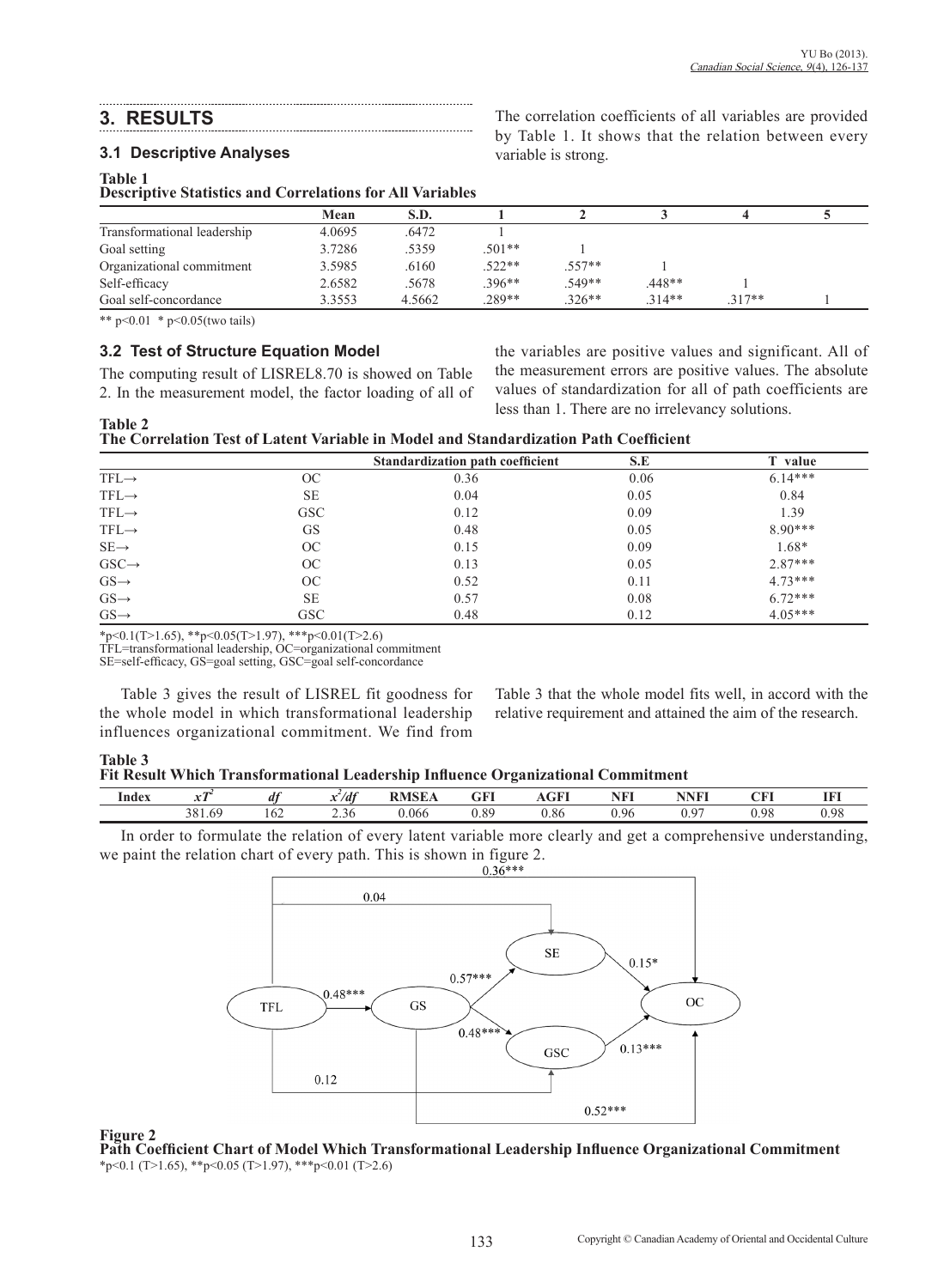## **3. RESULTS**

#### **3.1 Descriptive Analyses**

#### **Table 1**

**Table 2**

**Descriptive Statistics and Correlations for All Variables**

|                             | Mean   | S.D.   |          |          |         |          |  |
|-----------------------------|--------|--------|----------|----------|---------|----------|--|
| Transformational leadership | 4.0695 | .6472  |          |          |         |          |  |
| Goal setting                | 3.7286 | .5359  | $.501**$ |          |         |          |  |
| Organizational commitment   | 3.5985 | .6160  | $.522**$ | $.557**$ |         |          |  |
| Self-efficacy               | 2.6582 | .5678  | $.396**$ | .549**   | .448**  |          |  |
| Goal self-concordance       | 3.3553 | 4.5662 | $.289**$ | $.326**$ | $314**$ | $.317**$ |  |

variable is strong.

\*\* p<0.01 \* p<0.05(two tails)

#### **3.2 Test of Structure Equation Model**

The computing result of LISREL8.70 is showed on Table 2. In the measurement model, the factor loading of all of the variables are positive values and significant. All of the measurement errors are positive values. The absolute values of standardization for all of path coefficients are less than 1. There are no irrelevancy solutions.

The correlation coefficients of all variables are provided by Table 1. It shows that the relation between every

|                   |               | Standardization path coefficient | S.E  | T value   |  |
|-------------------|---------------|----------------------------------|------|-----------|--|
| $TFL \rightarrow$ | <sub>OC</sub> | 0.36                             | 0.06 | $6.14***$ |  |
| $TFL \rightarrow$ | <b>SE</b>     | 0.04                             | 0.05 | 0.84      |  |
| $TFL \rightarrow$ | <b>GSC</b>    | 0.12                             | 0.09 | 1.39      |  |
| $TFL \rightarrow$ | <b>GS</b>     | 0.48                             | 0.05 | $8.90***$ |  |
| $SE \rightarrow$  | OC            | 0.15                             | 0.09 | 1.68*     |  |
| $GSC \rightarrow$ | OC            | 0.13                             | 0.05 | $2.87***$ |  |
| $GS \rightarrow$  | OC            | 0.52                             | 0.11 | $4.73***$ |  |
| $GS \rightarrow$  | <b>SE</b>     | 0.57                             | 0.08 | $6.72***$ |  |
| $GS \rightarrow$  | <b>GSC</b>    | 0.48                             | 0.12 | $4.05***$ |  |

\*p<0.1(T>1.65), \*\*p<0.05(T>1.97), \*\*\*p<0.01(T>2.6)

TFL=transformational leadership, OC=organizational commitment

SE=self-efficacy, GS=goal setting, GSC=goal self-concordance

Table 3 gives the result of LISREL fit goodness for the whole model in which transformational leadership influences organizational commitment. We find from Table 3 that the whole model fits well, in accord with the relative requirement and attained the aim of the research.

| Table 3                                                                          |  |
|----------------------------------------------------------------------------------|--|
| Fit Result Which Transformational Leadership Influence Organizational Commitment |  |

| Index | m<br>$\mathbf{v}$ | d <sup>t</sup> | $x^2/df$ | <b>THE ROOM</b> | GFI  | $C\mathbf{F}$ | <b>NFI</b> | $\mathbf{N}$ $\mathbf{F}$ | $\cap$ $\Box$ | <b>IFI</b> |
|-------|-------------------|----------------|----------|-----------------|------|---------------|------------|---------------------------|---------------|------------|
|       | 381.69            | 162            | 2.30     | 0.066           | 0.89 | $_{0.86}$     | 0.96       | $\sim$<br><br>∪.∠         | 0.98          | 0.98       |

In order to formulate the relation of every latent variable more clearly and get a comprehensive understanding, we paint the relation chart of every path. This is shown in figure 2.<br> $0.36***$ 



#### **Figure 2**

**Path Coefficient Chart of Model Which Transformational Leadership Influence Organizational Commitment** \*p<0.1 (T>1.65), \*\*p<0.05 (T>1.97), \*\*\*p<0.01 (T>2.6)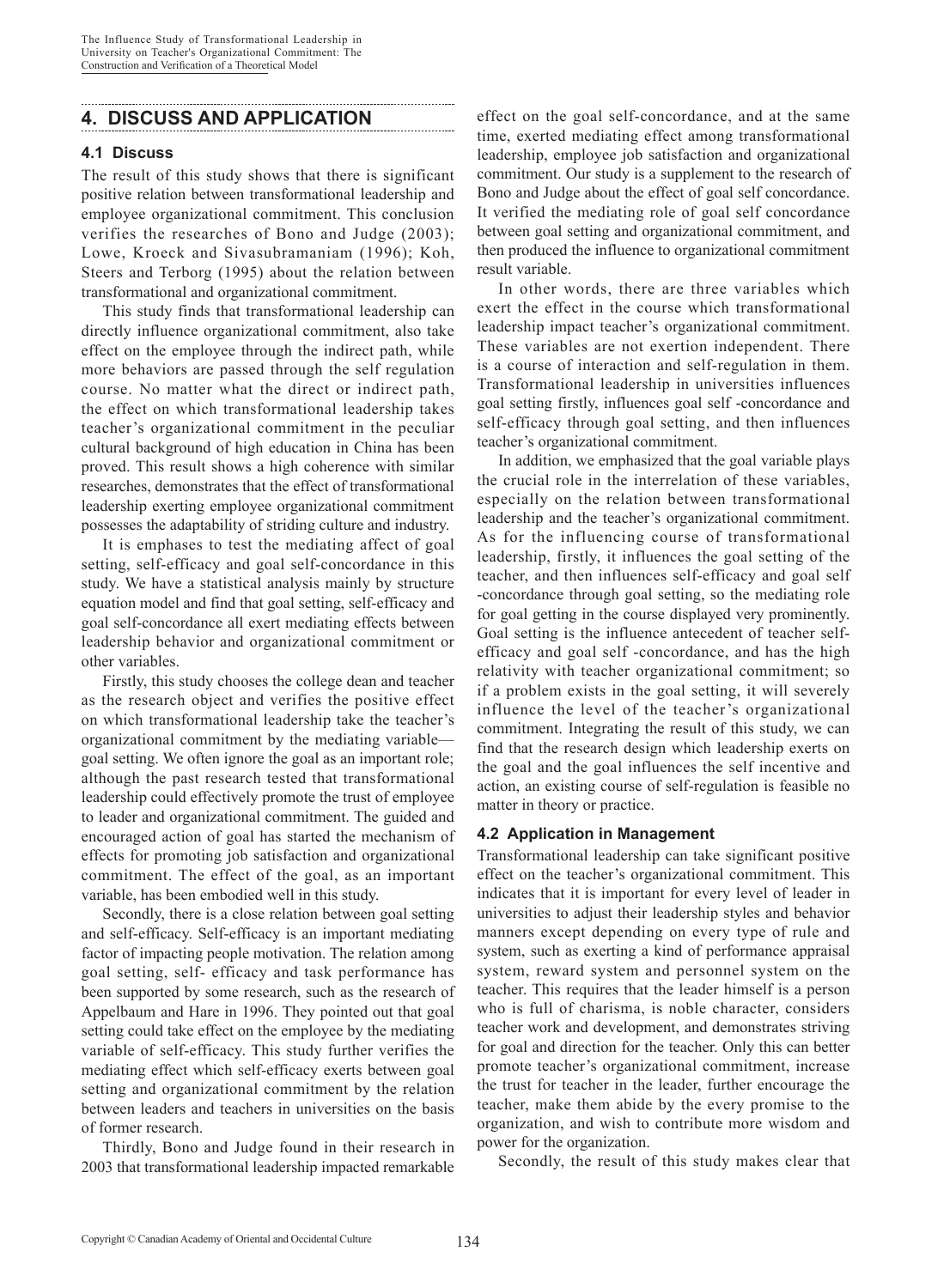## **4. DISCUSS AND APPLICATION**

#### **4.1 Discuss**

The result of this study shows that there is significant positive relation between transformational leadership and employee organizational commitment. This conclusion verifies the researches of Bono and Judge (2003); Lowe, Kroeck and Sivasubramaniam (1996); Koh, Steers and Terborg (1995) about the relation between transformational and organizational commitment.

This study finds that transformational leadership can directly influence organizational commitment, also take effect on the employee through the indirect path, while more behaviors are passed through the self regulation course. No matter what the direct or indirect path, the effect on which transformational leadership takes teacher's organizational commitment in the peculiar cultural background of high education in China has been proved. This result shows a high coherence with similar researches, demonstrates that the effect of transformational leadership exerting employee organizational commitment possesses the adaptability of striding culture and industry.

It is emphases to test the mediating affect of goal setting, self-efficacy and goal self-concordance in this study. We have a statistical analysis mainly by structure equation model and find that goal setting, self-efficacy and goal self-concordance all exert mediating effects between leadership behavior and organizational commitment or other variables.

Firstly, this study chooses the college dean and teacher as the research object and verifies the positive effect on which transformational leadership take the teacher's organizational commitment by the mediating variable goal setting. We often ignore the goal as an important role; although the past research tested that transformational leadership could effectively promote the trust of employee to leader and organizational commitment. The guided and encouraged action of goal has started the mechanism of effects for promoting job satisfaction and organizational commitment. The effect of the goal, as an important variable, has been embodied well in this study.

Secondly, there is a close relation between goal setting and self-efficacy. Self-efficacy is an important mediating factor of impacting people motivation. The relation among goal setting, self- efficacy and task performance has been supported by some research, such as the research of Appelbaum and Hare in 1996. They pointed out that goal setting could take effect on the employee by the mediating variable of self-efficacy. This study further verifies the mediating effect which self-efficacy exerts between goal setting and organizational commitment by the relation between leaders and teachers in universities on the basis of former research.

Thirdly, Bono and Judge found in their research in 2003 that transformational leadership impacted remarkable effect on the goal self-concordance, and at the same time, exerted mediating effect among transformational leadership, employee job satisfaction and organizational commitment. Our study is a supplement to the research of Bono and Judge about the effect of goal self concordance. It verified the mediating role of goal self concordance between goal setting and organizational commitment, and then produced the influence to organizational commitment result variable.

In other words, there are three variables which exert the effect in the course which transformational leadership impact teacher's organizational commitment. These variables are not exertion independent. There is a course of interaction and self-regulation in them. Transformational leadership in universities influences goal setting firstly, influences goal self -concordance and self-efficacy through goal setting, and then influences teacher's organizational commitment.

In addition, we emphasized that the goal variable plays the crucial role in the interrelation of these variables, especially on the relation between transformational leadership and the teacher's organizational commitment. As for the influencing course of transformational leadership, firstly, it influences the goal setting of the teacher, and then influences self-efficacy and goal self -concordance through goal setting, so the mediating role for goal getting in the course displayed very prominently. Goal setting is the influence antecedent of teacher selfefficacy and goal self -concordance, and has the high relativity with teacher organizational commitment; so if a problem exists in the goal setting, it will severely influence the level of the teacher's organizational commitment. Integrating the result of this study, we can find that the research design which leadership exerts on the goal and the goal influences the self incentive and action, an existing course of self-regulation is feasible no matter in theory or practice.

#### **4.2 Application in Management**

Transformational leadership can take significant positive effect on the teacher's organizational commitment. This indicates that it is important for every level of leader in universities to adjust their leadership styles and behavior manners except depending on every type of rule and system, such as exerting a kind of performance appraisal system, reward system and personnel system on the teacher. This requires that the leader himself is a person who is full of charisma, is noble character, considers teacher work and development, and demonstrates striving for goal and direction for the teacher. Only this can better promote teacher's organizational commitment, increase the trust for teacher in the leader, further encourage the teacher, make them abide by the every promise to the organization, and wish to contribute more wisdom and power for the organization.

Secondly, the result of this study makes clear that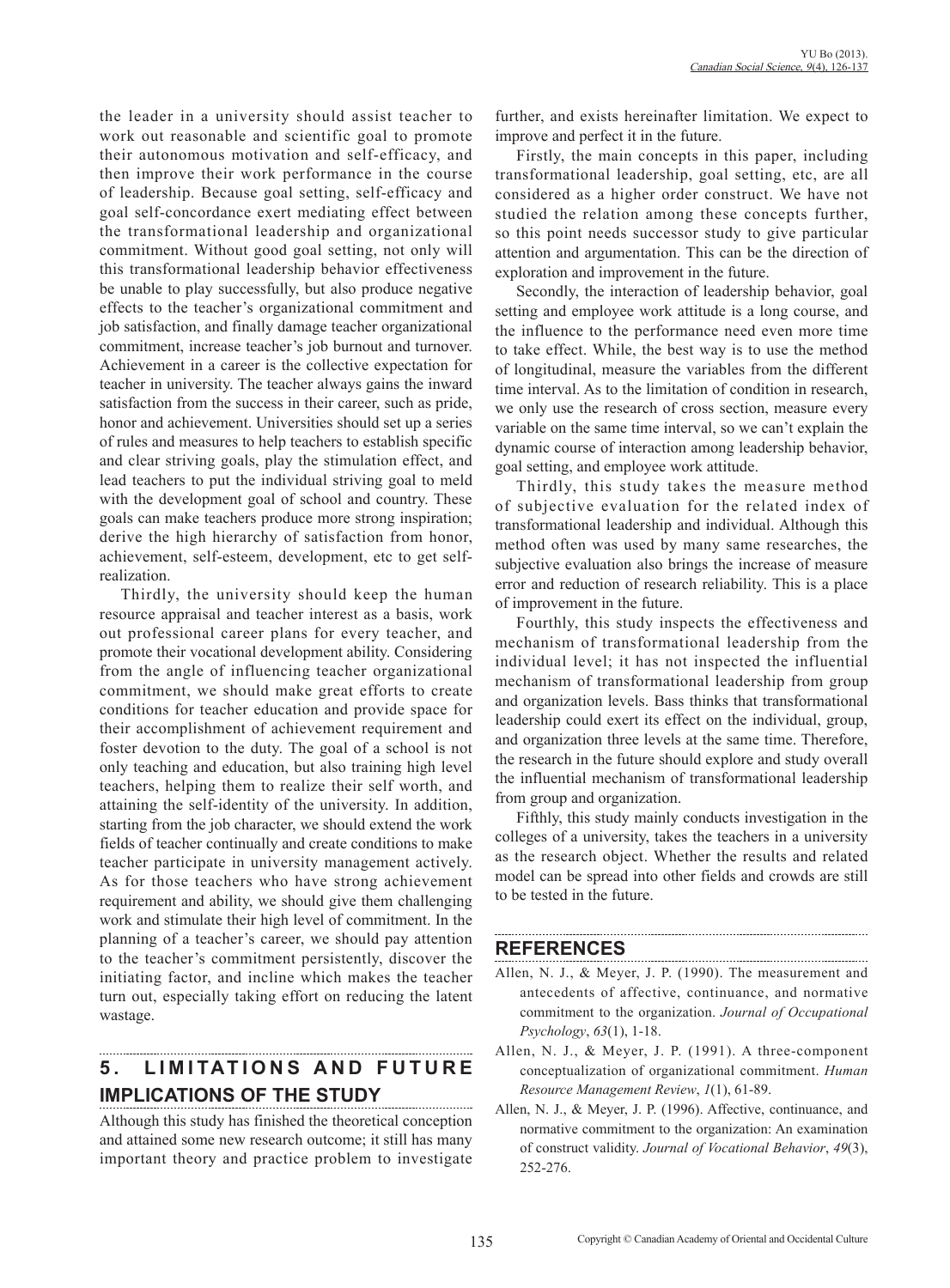the leader in a university should assist teacher to work out reasonable and scientific goal to promote their autonomous motivation and self-efficacy, and then improve their work performance in the course of leadership. Because goal setting, self-efficacy and goal self-concordance exert mediating effect between the transformational leadership and organizational commitment. Without good goal setting, not only will this transformational leadership behavior effectiveness be unable to play successfully, but also produce negative effects to the teacher's organizational commitment and job satisfaction, and finally damage teacher organizational commitment, increase teacher's job burnout and turnover. Achievement in a career is the collective expectation for teacher in university. The teacher always gains the inward satisfaction from the success in their career, such as pride, honor and achievement. Universities should set up a series of rules and measures to help teachers to establish specific and clear striving goals, play the stimulation effect, and lead teachers to put the individual striving goal to meld with the development goal of school and country. These goals can make teachers produce more strong inspiration; derive the high hierarchy of satisfaction from honor, achievement, self-esteem, development, etc to get selfrealization.

Thirdly, the university should keep the human resource appraisal and teacher interest as a basis, work out professional career plans for every teacher, and promote their vocational development ability. Considering from the angle of influencing teacher organizational commitment, we should make great efforts to create conditions for teacher education and provide space for their accomplishment of achievement requirement and foster devotion to the duty. The goal of a school is not only teaching and education, but also training high level teachers, helping them to realize their self worth, and attaining the self-identity of the university. In addition, starting from the job character, we should extend the work fields of teacher continually and create conditions to make teacher participate in university management actively. As for those teachers who have strong achievement requirement and ability, we should give them challenging work and stimulate their high level of commitment. In the planning of a teacher's career, we should pay attention to the teacher's commitment persistently, discover the initiating factor, and incline which makes the teacher turn out, especially taking effort on reducing the latent wastage.

# **5. LIMITATIONS AND FUTURE IMPLICATIONS OF THE STUDY**

Although this study has finished the theoretical conception and attained some new research outcome; it still has many important theory and practice problem to investigate further, and exists hereinafter limitation. We expect to improve and perfect it in the future.

Firstly, the main concepts in this paper, including transformational leadership, goal setting, etc, are all considered as a higher order construct. We have not studied the relation among these concepts further, so this point needs successor study to give particular attention and argumentation. This can be the direction of exploration and improvement in the future.

Secondly, the interaction of leadership behavior, goal setting and employee work attitude is a long course, and the influence to the performance need even more time to take effect. While, the best way is to use the method of longitudinal, measure the variables from the different time interval. As to the limitation of condition in research, we only use the research of cross section, measure every variable on the same time interval, so we can't explain the dynamic course of interaction among leadership behavior, goal setting, and employee work attitude.

Thirdly, this study takes the measure method of subjective evaluation for the related index of transformational leadership and individual. Although this method often was used by many same researches, the subjective evaluation also brings the increase of measure error and reduction of research reliability. This is a place of improvement in the future.

Fourthly, this study inspects the effectiveness and mechanism of transformational leadership from the individual level; it has not inspected the influential mechanism of transformational leadership from group and organization levels. Bass thinks that transformational leadership could exert its effect on the individual, group, and organization three levels at the same time. Therefore, the research in the future should explore and study overall the influential mechanism of transformational leadership from group and organization.

Fifthly, this study mainly conducts investigation in the colleges of a university, takes the teachers in a university as the research object. Whether the results and related model can be spread into other fields and crowds are still to be tested in the future.

## **REFERENCES**

Allen, N. J., & Meyer, J. P. (1990). The measurement and antecedents of affective, continuance, and normative commitment to the organization. *Journal of Occupational Psychology*, *63*(1), 1-18.

- Allen, N. J., & Meyer, J. P. (1991). A three-component conceptualization of organizational commitment. *Human Resource Management Review*, *1*(1), 61-89.
- Allen, N. J., & Meyer, J. P. (1996). Affective, continuance, and normative commitment to the organization: An examination of construct validity. *Journal of Vocational Behavior*, *49*(3), 252-276.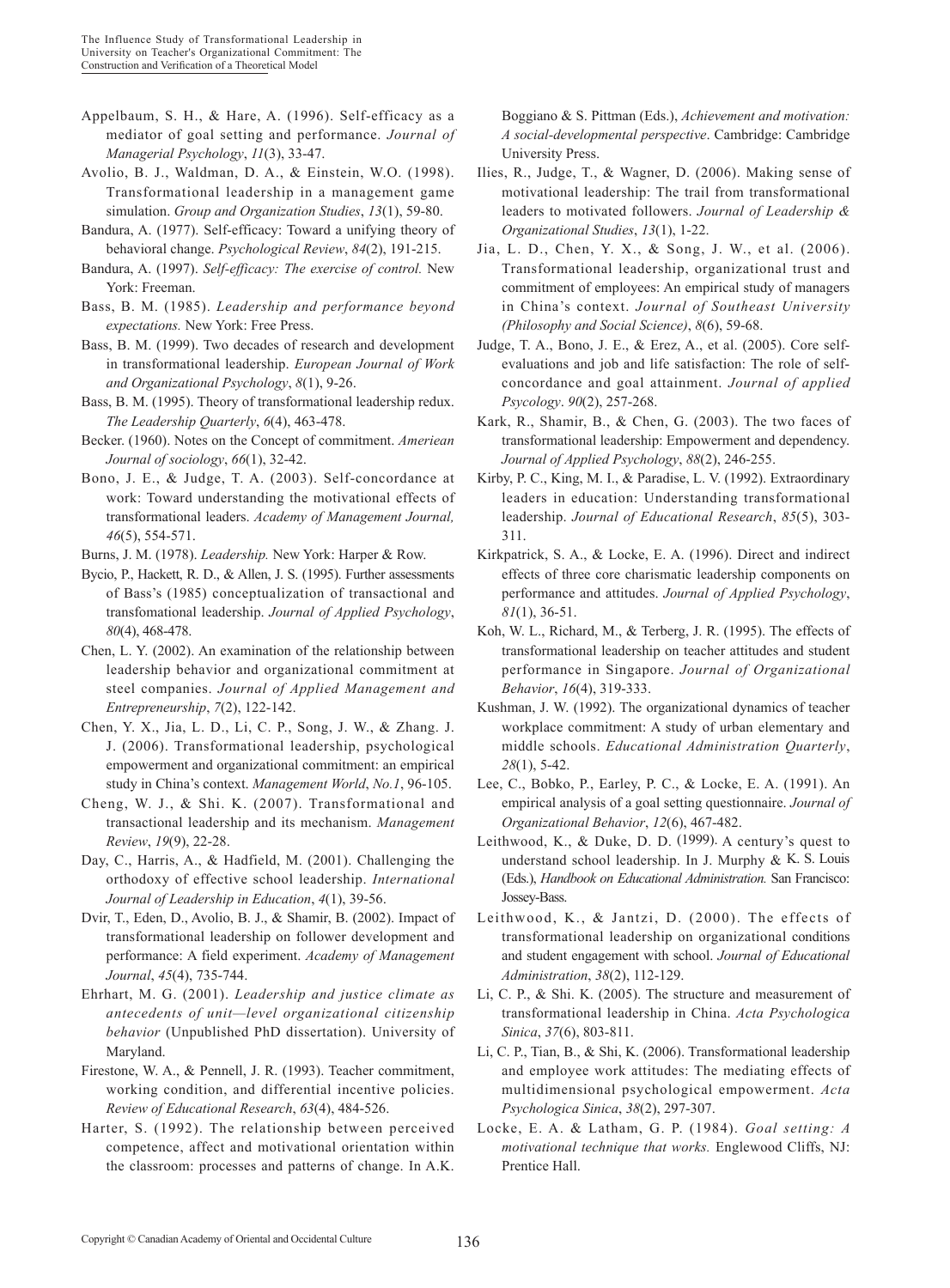- Appelbaum, S. H., & Hare, A. (1996). Self-efficacy as a mediator of goal setting and performance. *Journal of Managerial Psychology*, *11*(3), 33-47.
- Avolio, B. J., Waldman, D. A., & Einstein, W.O. (1998). Transformational leadership in a management game simulation. *Group and Organization Studies*, *13*(1), 59-80.
- Bandura, A. (1977). Self-efficacy: Toward a unifying theory of behavioral change. *Psychological Review*, *84*(2), 191-215.
- Bandura, A. (1997). *Self-efficacy: The exercise of control.* New York: Freeman.
- Bass, B. M. (1985). *Leadership and performance beyond expectations.* New York: Free Press.
- Bass, B. M. (1999). Two decades of research and development in transformational leadership. *European Journal of Work and Organizational Psychology*, *8*(1), 9-26.
- Bass, B. M. (1995). Theory of transformational leadership redux. *The Leadership Quarterly*, *6*(4), 463-478.
- Becker. (1960). Notes on the Concept of commitment. *Ameriean Journal of sociology*, *66*(1), 32-42.
- Bono, J. E., & Judge, T. A. (2003). Self-concordance at work: Toward understanding the motivational effects of transformational leaders. *Academy of Management Journal, 46*(5), 554-571.
- Burns, J. M. (1978). *Leadership.* New York: Harper & Row.
- Bycio, P., Hackett, R. D., & Allen, J. S. (1995). Further assessments of Bass's (1985) conceptualization of transactional and transfomational leadership. *Journal of Applied Psychology*, *80*(4), 468-478.
- Chen, L. Y. (2002). An examination of the relationship between leadership behavior and organizational commitment at steel companies. *Journal of Applied Management and Entrepreneurship*, *7*(2), 122-142.
- Chen, Y. X., Jia, L. D., Li, C. P., Song, J. W., & Zhang. J. J. (2006). Transformational leadership, psychological empowerment and organizational commitment: an empirical study in China's context. *Management World*, *No.1*, 96-105.
- Cheng, W. J., & Shi. K. (2007). Transformational and transactional leadership and its mechanism. *Management Review*, *19*(9), 22-28.
- Day, C., Harris, A., & Hadfield, M. (2001). Challenging the orthodoxy of effective school leadership. *International Journal of Leadership in Education*, *4*(1), 39-56.
- Dvir, T., Eden, D., Avolio, B. J., & Shamir, B. (2002). Impact of transformational leadership on follower development and performance: A field experiment. *Academy of Management Journal*, *45*(4), 735-744.
- Ehrhart, M. G. (2001). *Leadership and justice climate as antecedents of unit—level organizational citizenship behavior* (Unpublished PhD dissertation). University of Maryland.
- Firestone, W. A., & Pennell, J. R. (1993). Teacher commitment, working condition, and differential incentive policies. *Review of Educational Research*, *63*(4), 484-526.
- Harter, S. (1992). The relationship between perceived competence, affect and motivational orientation within the classroom: processes and patterns of change. In A.K.

Boggiano & S. Pittman (Eds.), *Achievement and motivation: A social-developmental perspective*. Cambridge: Cambridge University Press.

- Ilies, R., Judge, T., & Wagner, D. (2006). Making sense of motivational leadership: The trail from transformational leaders to motivated followers. *Journal of Leadership & Organizational Studies*, *13*(1), 1-22.
- Jia, L. D., Chen, Y. X., & Song, J. W., et al. (2006). Transformational leadership, organizational trust and commitment of employees: An empirical study of managers in China's context. *Journal of Southeast University (Philosophy and Social Science)*, *8*(6), 59-68.
- Judge, T. A., Bono, J. E., & Erez, A., et al. (2005). Core selfevaluations and job and life satisfaction: The role of selfconcordance and goal attainment. *Journal of applied Psycology*. *90*(2), 257-268.
- Kark, R., Shamir, B., & Chen, G. (2003). The two faces of transformational leadership: Empowerment and dependency. *Journal of Applied Psychology*, *88*(2), 246-255.
- Kirby, P. C., King, M. I., & Paradise, L. V. (1992). Extraordinary leaders in education: Understanding transformational leadership. *Journal of Educational Research*, *85*(5), 303- 311.
- Kirkpatrick, S. A., & Locke, E. A. (1996). Direct and indirect effects of three core charismatic leadership components on performance and attitudes. *Journal of Applied Psychology*, *81*(1), 36-51.
- Koh, W. L., Richard, M., & Terberg, J. R. (1995). The effects of transformational leadership on teacher attitudes and student performance in Singapore. *Journal of Organizational Behavior*, *16*(4), 319-333.
- Kushman, J. W. (1992). The organizational dynamics of teacher workplace commitment: A study of urban elementary and middle schools. *Educational Administration Quarterly*, *28*(1), 5-42.
- Lee, C., Bobko, P., Earley, P. C., & Locke, E. A. (1991). An empirical analysis of a goal setting questionnaire. *Journal of Organizational Behavior*, *12*(6), 467-482.
- Leithwood, K., & Duke, D. D.  $(1999)$ . A century's quest to understand school leadership. In J. Murphy  $\& K. S.$  Louis (Eds.), *Handbook on Educational Administration.* San Francisco: Jossey-Bass.
- Leithwood, K., & Jantzi, D. (2000). The effects of transformational leadership on organizational conditions and student engagement with school. *Journal of Educational Administration*, *38*(2), 112-129.
- Li, C. P., & Shi. K. (2005). The structure and measurement of transformational leadership in China. *Acta Psychologica Sinica*, *37*(6), 803-811.
- Li, C. P., Tian, B., & Shi, K. (2006). Transformational leadership and employee work attitudes: The mediating effects of multidimensional psychological empowerment. *Acta Psychologica Sinica*, *38*(2), 297-307.
- Locke, E. A. & Latham, G. P. (1984). *Goal setting: A motivational technique that works.* Englewood Cliffs, NJ: Prentice Hall.